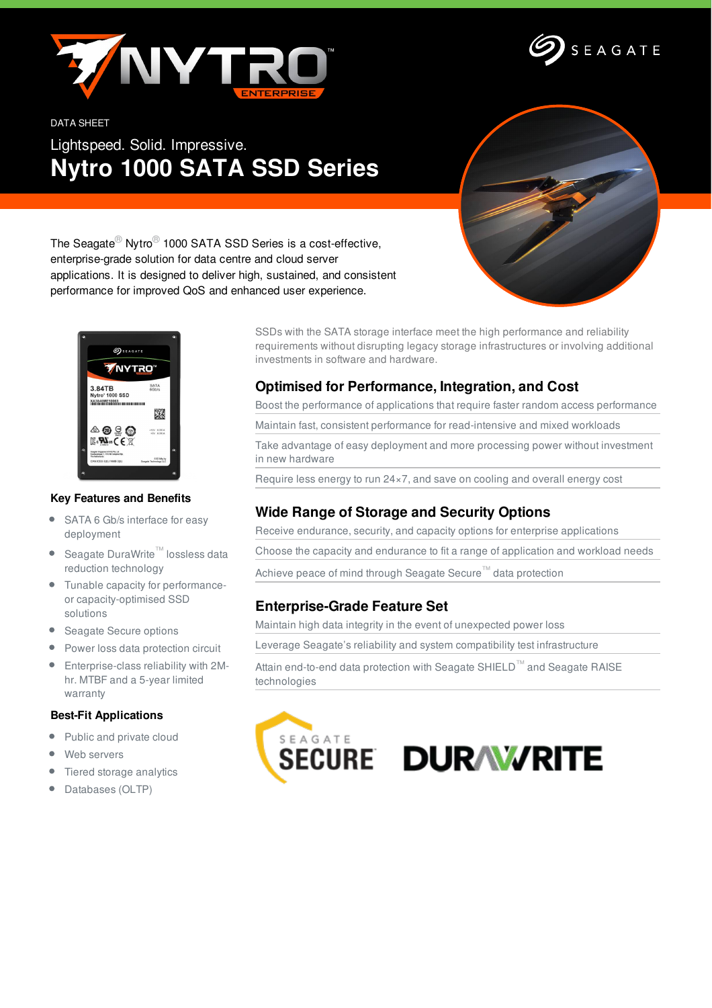



#### DATA SHEET

Lightspeed. Solid. Impressive. **Nytro 1000 SATA SSD Series**



The Seagate® Nytro® 1000 SATA SSD Series is a cost-effective, enterprise-grade solution for data centre and cloud server applications. It is designed to deliver high, sustained, and consistent performance for improved QoS and enhanced user experience.



### **Key Features and Benefits**

- $\bullet$ SATA 6 Gb/s interface for easy deployment
- Seagate DuraWrite™ lossless data reduction technology
- Tunable capacity for performanceor capacity-optimised SSD solutions
- Seagate Secure options
- **•** Power loss data protection circuit
- Enterprise-class reliability with 2Mhr. MTBF and a 5-year limited warranty

## **Best-Fit Applications**

- $\bullet$ Public and private cloud
- Web servers
- Tiered storage analytics
- Databases (OLTP)

SSDs with the SATA storage interface meet the high performance and reliability requirements without disrupting legacy storage infrastructures or involving additional investments in software and hardware.

## **Optimised for Performance, Integration, and Cost**

Boost the performance of applications that require faster random access performance

Maintain fast, consistent performance for read-intensive and mixed workloads

Take advantage of easy deployment and more processing power without investment in new hardware

Require less energy to run 24×7, and save on cooling and overall energy cost

# **Wide Range of Storage and Security Options**

Receive endurance, security, and capacity options for enterprise applications

Choose the capacity and endurance to fit a range of application and workload needs

Achieve peace of mind through Seagate Secure™ data protection

## **Enterprise-Grade Feature Set**

Maintain high data integrity in the event of unexpected power loss

Leverage Seagate's reliability and system compatibility test infrastructure

Attain end-to-end data protection with Seagate SHIELD™ and Seagate RAISE technologies

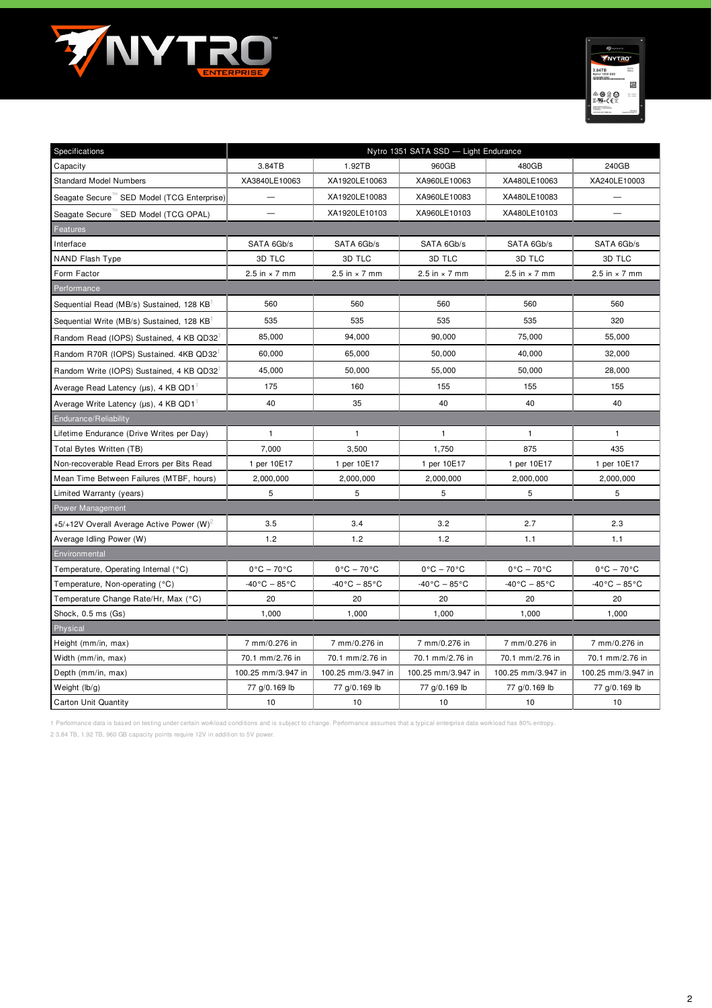



| Specifications                                          | Nytro 1351 SATA SSD - Light Endurance |                                 |                                 |                                 |                                 |  |  |  |  |
|---------------------------------------------------------|---------------------------------------|---------------------------------|---------------------------------|---------------------------------|---------------------------------|--|--|--|--|
| Capacity                                                | 3.84TB                                | 1.92TB                          | 960GB                           | 480GB                           | 240GB                           |  |  |  |  |
| <b>Standard Model Numbers</b>                           | XA3840LE10063                         | XA1920LE10063                   | XA960LE10063                    | XA480LE10063                    | XA240LE10003                    |  |  |  |  |
| Seagate Secure "SED Model (TCG Enterprise)              |                                       | XA1920LE10083                   | XA960LE10083                    | XA480LE10083                    |                                 |  |  |  |  |
| Seagate Secure "SED Model (TCG OPAL)                    |                                       | XA1920LE10103                   | XA960LE10103                    | XA480LE10103                    |                                 |  |  |  |  |
| Features                                                |                                       |                                 |                                 |                                 |                                 |  |  |  |  |
| Interface                                               | SATA 6Gb/s                            | SATA 6Gb/s                      | SATA 6Gb/s                      | SATA 6Gb/s                      | SATA 6Gb/s                      |  |  |  |  |
| NAND Flash Type                                         | 3D TLC                                | 3D TLC                          | 3D TLC                          | 3D TLC                          | 3D TLC                          |  |  |  |  |
| Form Factor                                             | 2.5 in $\times$ 7 mm                  | 2.5 in $\times$ 7 mm            | 2.5 in $\times$ 7 mm            | 2.5 in $\times$ 7 mm            | 2.5 in $\times$ 7 mm            |  |  |  |  |
| Performance                                             |                                       |                                 |                                 |                                 |                                 |  |  |  |  |
| Sequential Read (MB/s) Sustained, 128 KB                | 560                                   | 560                             | 560                             | 560                             | 560                             |  |  |  |  |
| Sequential Write (MB/s) Sustained, 128 KB               | 535                                   | 535                             | 535                             | 535                             | 320                             |  |  |  |  |
| Random Read (IOPS) Sustained, 4 KB QD32                 | 85,000                                | 94,000                          | 90,000                          | 75,000                          | 55,000                          |  |  |  |  |
| Random R70R (IOPS) Sustained. 4KB QD32                  | 60,000                                | 65,000                          | 50,000                          | 40,000                          | 32,000                          |  |  |  |  |
| Random Write (IOPS) Sustained, 4 KB QD32                | 45,000                                | 50,000                          | 55,000                          | 50,000                          | 28,000                          |  |  |  |  |
| Average Read Latency (µs), 4 KB QD1                     | 175                                   | 160                             | 155                             | 155                             | 155                             |  |  |  |  |
| Average Write Latency ( $\mu$ s), 4 KB QD1 <sup>1</sup> | 40                                    | 35                              | 40                              | 40                              | 40                              |  |  |  |  |
| Endurance/Reliability                                   |                                       |                                 |                                 |                                 |                                 |  |  |  |  |
| Lifetime Endurance (Drive Writes per Day)               | $\mathbf{1}$                          | $\mathbf{1}$                    | $\mathbf{1}$                    | $\mathbf{1}$                    | $\mathbf{1}$                    |  |  |  |  |
| Total Bytes Written (TB)                                | 7,000                                 | 3,500                           | 1,750                           | 875                             | 435                             |  |  |  |  |
| Non-recoverable Read Errors per Bits Read               | 1 per 10E17                           | 1 per 10E17                     | 1 per 10E17                     | 1 per 10E17                     | 1 per 10E17                     |  |  |  |  |
| Mean Time Between Failures (MTBF, hours)                | 2,000,000                             | 2,000,000                       | 2,000,000                       | 2,000,000                       | 2,000,000                       |  |  |  |  |
| Limited Warranty (years)                                | 5                                     | 5                               | 5                               | 5                               | 5                               |  |  |  |  |
| <b>Power Management</b>                                 |                                       |                                 |                                 |                                 |                                 |  |  |  |  |
| +5/+12V Overall Average Active Power (W) <sup>2</sup>   | 3.5                                   | 3.4                             | 3.2                             | 2.7                             | 2.3                             |  |  |  |  |
| Average Idling Power (W)                                | 1.2                                   | 1.2                             | 1.2                             | 1.1                             | 1.1                             |  |  |  |  |
| Environmental                                           |                                       |                                 |                                 |                                 |                                 |  |  |  |  |
| Temperature, Operating Internal (°C)                    | $0^{\circ}$ C - 70 $^{\circ}$ C       | $0^{\circ}$ C - 70 $^{\circ}$ C | $0^{\circ}$ C - 70 $^{\circ}$ C | $0^{\circ}$ C - 70 $^{\circ}$ C | $0^{\circ}$ C - 70 $^{\circ}$ C |  |  |  |  |
| Temperature, Non-operating (°C)                         | $-40\degree$ C $-85\degree$ C         | $-40\degree$ C – 85 $\degree$ C | -40°C – 85°C                    | $-40\degree$ C $-85\degree$ C   | $-40\degree$ C $-85\degree$ C   |  |  |  |  |
| Temperature Change Rate/Hr, Max (°C)                    | 20                                    | 20                              | 20                              | 20                              | 20                              |  |  |  |  |
| Shock, 0.5 ms (Gs)                                      | 1,000                                 | 1,000                           | 1,000                           | 1,000                           | 1,000                           |  |  |  |  |
| Physical                                                |                                       |                                 |                                 |                                 |                                 |  |  |  |  |
| Height (mm/in, max)                                     | 7 mm/0.276 in                         | 7 mm/0.276 in                   | 7 mm/0.276 in                   | 7 mm/0.276 in                   | 7 mm/0.276 in                   |  |  |  |  |
| Width (mm/in, max)                                      | 70.1 mm/2.76 in                       | 70.1 mm/2.76 in                 | 70.1 mm/2.76 in                 | 70.1 mm/2.76 in                 | 70.1 mm/2.76 in                 |  |  |  |  |
| Depth (mm/in, max)                                      | 100.25 mm/3.947 in                    | 100.25 mm/3.947 in              | 100.25 mm/3.947 in              | 100.25 mm/3.947 in              | 100.25 mm/3.947 in              |  |  |  |  |
| Weight (lb/g)                                           | 77 g/0.169 lb                         | 77 g/0.169 lb                   | 77 g/0.169 lb                   | 77 g/0.169 lb                   | 77 g/0.169 lb                   |  |  |  |  |
| <b>Carton Unit Quantity</b>                             | 10                                    | 10                              | 10                              | 10                              | 10                              |  |  |  |  |

1 Performance data is based on testing under certain workload conditions and is subject to change. Performance assumes that a typical enterprise data workload has 80% entropy.

2 3.84 TB, 1.92 TB, 960 GB capacity points require 12V in addition to 5V power.